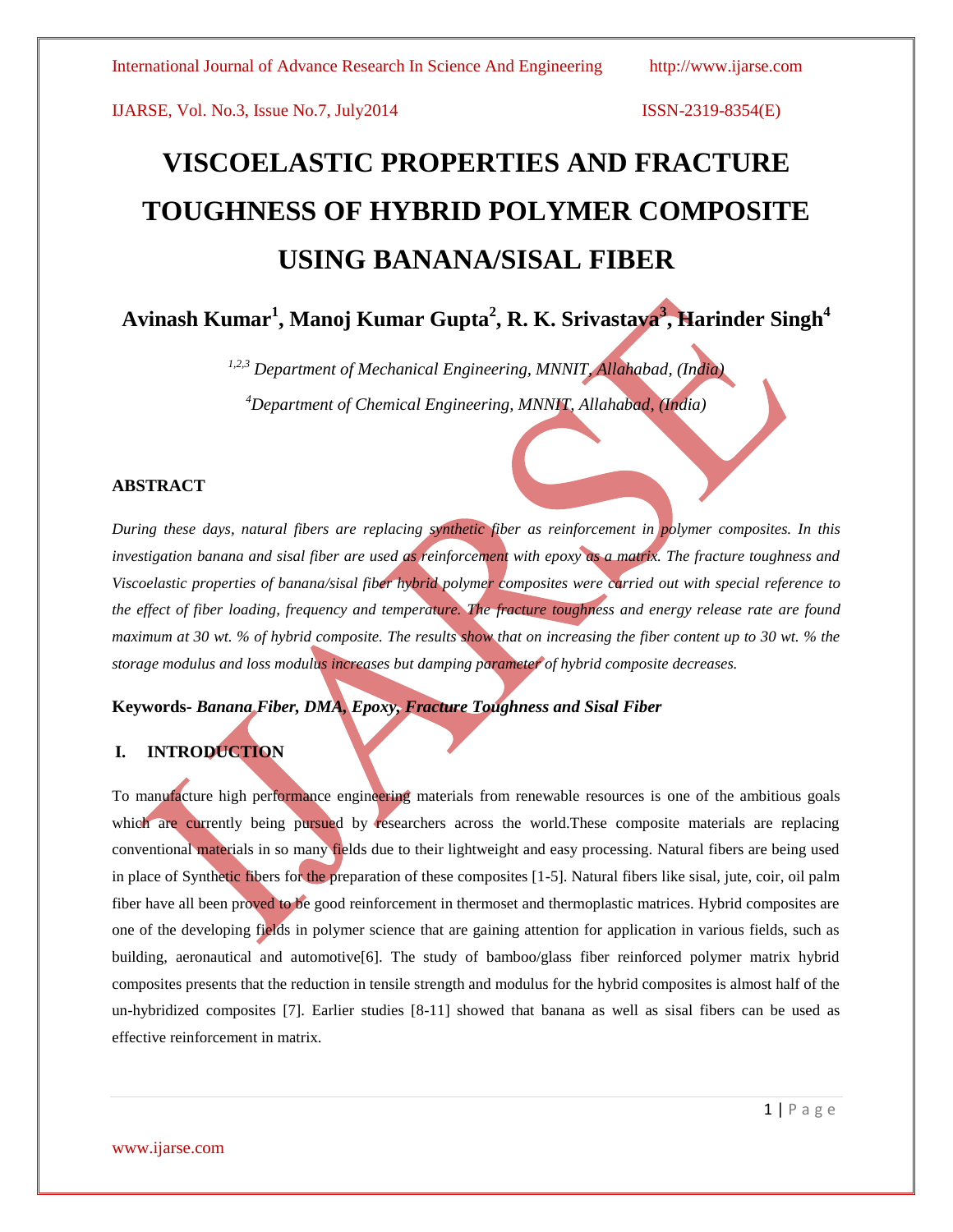# **VISCOELASTIC PROPERTIES AND FRACTURE TOUGHNESS OF HYBRID POLYMER COMPOSITE USING BANANA/SISAL FIBER**

**Avinash Kumar<sup>1</sup> , Manoj Kumar Gupta<sup>2</sup> , R. K. Srivastava<sup>3</sup> , Harinder Singh<sup>4</sup>**

*1,2,3 Department of Mechanical Engineering, MNNIT, Allahabad, (India) <sup>4</sup>Department of Chemical Engineering, MNNIT, Allahabad, (India)*

### **ABSTRACT**

*During these days, natural fibers are replacing synthetic fiber as reinforcement in polymer composites. In this investigation banana and sisal fiber are used as reinforcement with epoxy as a matrix. The fracture toughness and Viscoelastic properties of banana/sisal fiber hybrid polymer composites were carried out with special reference to the effect of fiber loading, frequency and temperature. The fracture toughness and energy release rate are found maximum at 30 wt. % of hybrid composite. The results show that on increasing the fiber content up to 30 wt. % the storage modulus and loss modulus increases but damping parameter of hybrid composite decreases.* 

**Keywords-** *Banana Fiber, DMA, Epoxy, Fracture Toughness and Sisal Fiber*

# **I. INTRODUCTION**

To manufacture high performance engineering materials from renewable resources is one of the ambitious goals which are currently being pursued by researchers across the world.These composite materials are replacing conventional materials in so many fields due to their lightweight and easy processing. Natural fibers are being used in place of Synthetic fibers for the preparation of these composites [1-5]. Natural fibers like sisal, jute, coir, oil palm fiber have all been proved to be good reinforcement in thermoset and thermoplastic matrices. Hybrid composites are one of the developing fields in polymer science that are gaining attention for application in various fields, such as building, aeronautical and automotive[6]. The study of bamboo/glass fiber reinforced polymer matrix hybrid composites presents that the reduction in tensile strength and modulus for the hybrid composites is almost half of the un-hybridized composites [7]. Earlier studies [8-11] showed that banana as well as sisal fibers can be used as effective reinforcement in matrix.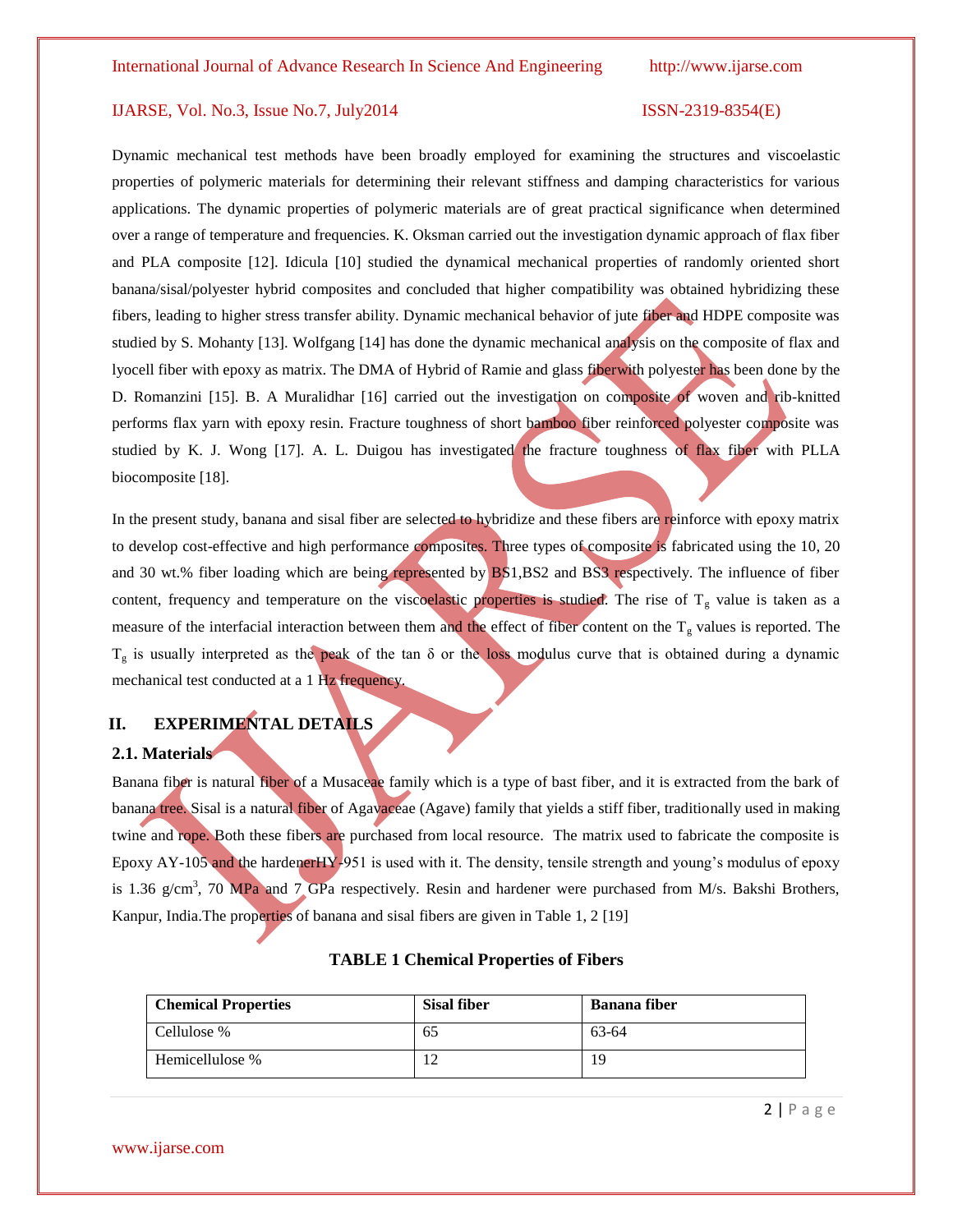Dynamic mechanical test methods have been broadly employed for examining the structures and viscoelastic properties of polymeric materials for determining their relevant stiffness and damping characteristics for various applications. The dynamic properties of polymeric materials are of great practical significance when determined over a range of temperature and frequencies. K. Oksman carried out the investigation dynamic approach of flax fiber and PLA composite [12]. Idicula [10] studied the dynamical mechanical properties of randomly oriented short banana/sisal/polyester hybrid composites and concluded that higher compatibility was obtained hybridizing these fibers, leading to higher stress transfer ability. Dynamic mechanical behavior of jute fiber and HDPE composite was studied by S. Mohanty [13]. Wolfgang [14] has done the dynamic mechanical analysis on the composite of flax and lyocell fiber with epoxy as matrix. The DMA of Hybrid of Ramie and glass fiberwith polyester has been done by the D. Romanzini [15]. B. A Muralidhar [16] carried out the investigation on composite of woven and rib-knitted performs flax yarn with epoxy resin. Fracture toughness of short bamboo fiber reinforced polyester composite was studied by K. J. Wong [17]. A. L. Duigou has investigated the fracture toughness of flax fiber with PLLA biocomposite [18].

In the present study, banana and sisal fiber are selected to hybridize and these fibers are reinforce with epoxy matrix to develop cost-effective and high performance composites. Three types of composite is fabricated using the 10, 20 and 30 wt.% fiber loading which are being represented by BS1,BS2 and BS3 respectively. The influence of fiber content, frequency and temperature on the viscoelastic properties is studied. The rise of  $T_g$  value is taken as a measure of the interfacial interaction between them and the effect of fiber content on the  $T_g$  values is reported. The  $T_g$  is usually interpreted as the peak of the tan  $\delta$  or the loss modulus curve that is obtained during a dynamic mechanical test conducted at a 1 Hz frequency.

# **II. EXPERIMENTAL DETAILS**

### **2.1. Materials**

Banana fiber is natural fiber of a Musaceae family which is a type of bast fiber, and it is extracted from the bark of banana tree. Sisal is a natural fiber of Agavaceae (Agave) family that yields a stiff fiber, traditionally used in making twine and rope. Both these fibers are purchased from local resource. The matrix used to fabricate the composite is Epoxy AY-105 and the hardenerHY-951 is used with it. The density, tensile strength and young's modulus of epoxy is 1.36  $g/cm<sup>3</sup>$ , 70 MPa and 7 GPa respectively. Resin and hardener were purchased from M/s. Bakshi Brothers, Kanpur, India.The properties of banana and sisal fibers are given in Table 1, 2 [19]

| <b>Chemical Properties</b> | <b>Sisal fiber</b> | <b>Banana</b> fiber |
|----------------------------|--------------------|---------------------|
| Cellulose %                | כס                 | 63-64               |
| Hemicellulose %            |                    | 19                  |

### **TABLE 1 Chemical Properties of Fibers**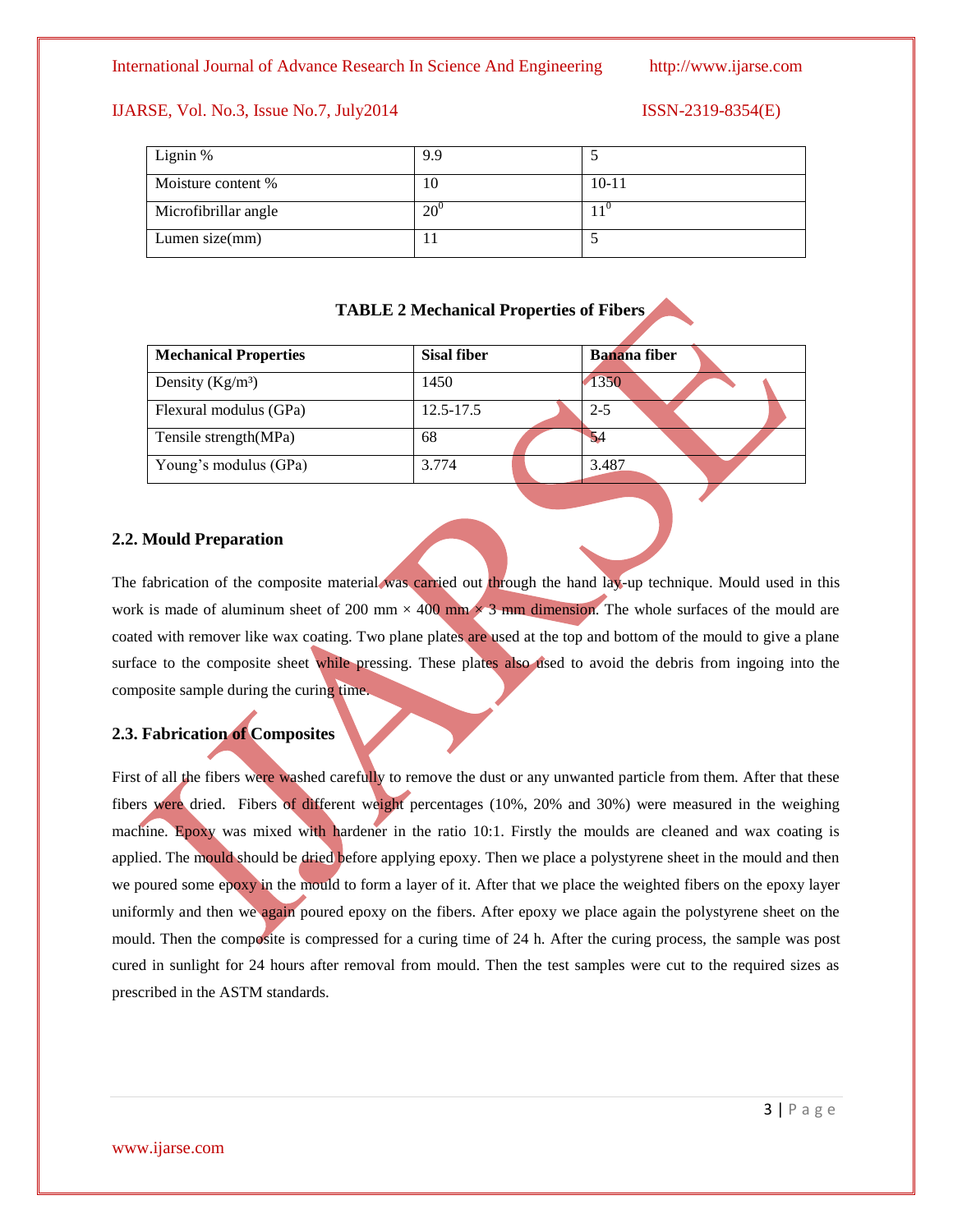| Lignin %             | 9.9          |           |
|----------------------|--------------|-----------|
| Moisture content %   | 10           | $10 - 11$ |
| Microfibrillar angle | $20^{\circ}$ |           |
| Lumen size $(mm)$    | . .          |           |

**TABLE 2 Mechanical Properties of Fibers**

| <b>Mechanical Properties</b> | <b>Sisal fiber</b> | <b>Banana</b> fiber |
|------------------------------|--------------------|---------------------|
| Density $(Kg/m3)$            | 1450               | 1350                |
| Flexural modulus (GPa)       | 12.5-17.5          | $2 - 5$             |
| Tensile strength(MPa)        | 68                 | 54                  |
| Young's modulus (GPa)        | 3.774              | 3.487               |

### **2.2. Mould Preparation**

The fabrication of the composite material was carried out through the hand lay-up technique. Mould used in this work is made of aluminum sheet of 200 mm  $\times$  400 mm  $\times$  3 mm dimension. The whole surfaces of the mould are coated with remover like wax coating. Two plane plates are used at the top and bottom of the mould to give a plane surface to the composite sheet while pressing. These plates also used to avoid the debris from ingoing into the composite sample during the curing time.

### **2.3. Fabrication of Composites**

First of all the fibers were washed carefully to remove the dust or any unwanted particle from them. After that these fibers were dried. Fibers of different weight percentages (10%, 20% and 30%) were measured in the weighing machine. Epoxy was mixed with hardener in the ratio 10:1. Firstly the moulds are cleaned and wax coating is applied. The mould should be dried before applying epoxy. Then we place a polystyrene sheet in the mould and then we poured some epoxy in the mould to form a layer of it. After that we place the weighted fibers on the epoxy layer uniformly and then we again poured epoxy on the fibers. After epoxy we place again the polystyrene sheet on the mould. Then the composite is compressed for a curing time of 24 h. After the curing process, the sample was post cured in sunlight for 24 hours after removal from mould. Then the test samples were cut to the required sizes as prescribed in the ASTM standards.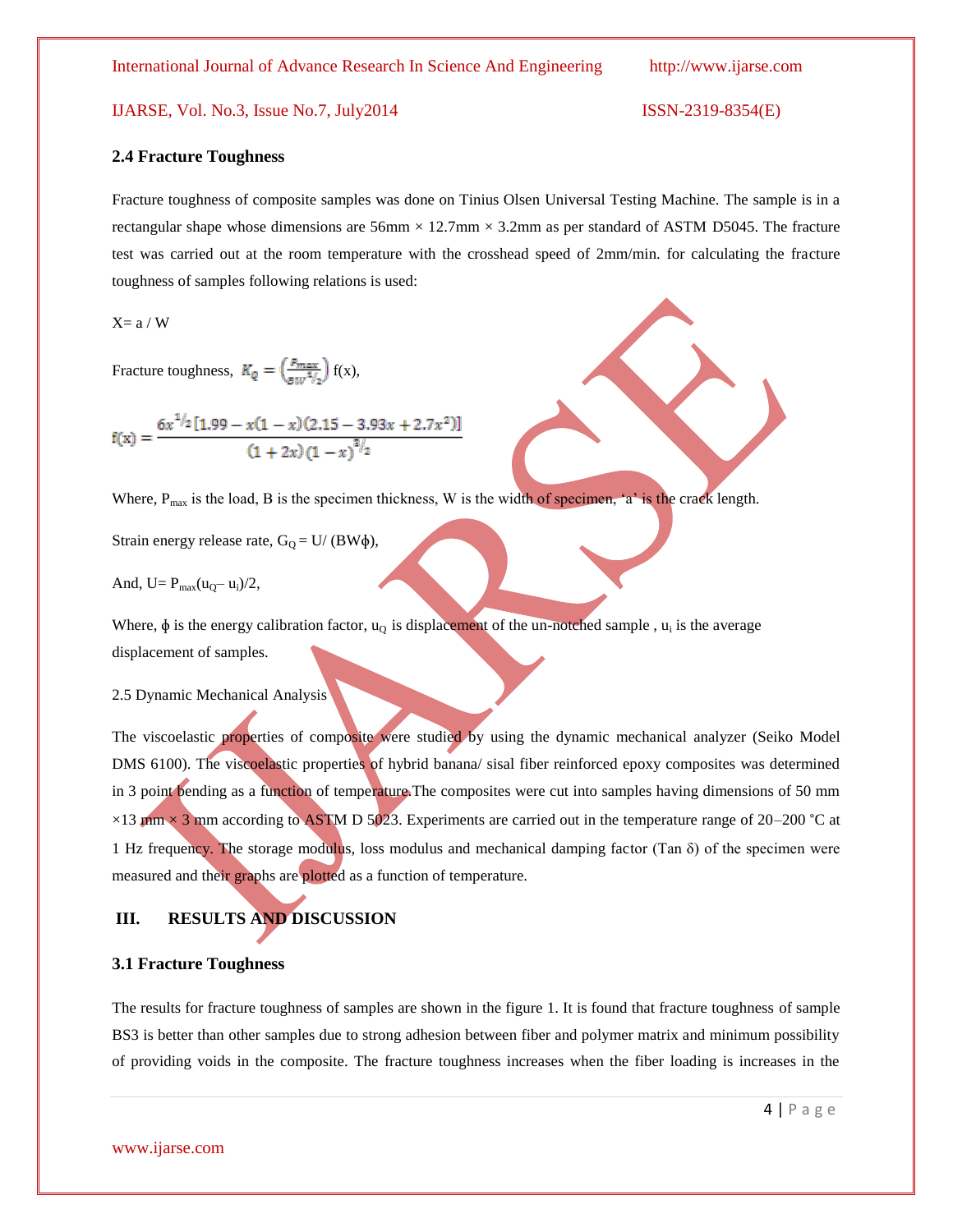### IJARSE, Vol. No.3, Issue No.7, July2014

$$
ISSN-2319-8354(E)
$$

### **2.4 Fracture Toughness**

Fracture toughness of composite samples was done on Tinius Olsen Universal Testing Machine. The sample is in a rectangular shape whose dimensions are  $56 \text{mm} \times 12.7 \text{mm} \times 3.2 \text{mm}$  as per standard of ASTM D5045. The fracture test was carried out at the room temperature with the crosshead speed of 2mm/min. for calculating the fracture toughness of samples following relations is used:

 $X= a / W$ 

Fracture toughness,  $K_Q = \left(\frac{P_{max}}{8W^{1/2}}\right) f(x)$ ,

$$
f(x) = \frac{6x^{1/2}[1.99 - x(1 - x)(2.15 - 3.93x + 2.7x^{2})]}{(1 + 2x)(1 - x)^{3/2}}
$$

Where,  $P_{max}$  is the load, B is the specimen thickness, W is the width of specimen, 'a' is the crack length.

Strain energy release rate,  $G_0 = U/(BW\phi)$ ,

And,  $U = P_{max}(u_0 - u_i)/2$ ,

Where,  $\phi$  is the energy calibration factor,  $u_Q$  is displacement of the un-notched sample,  $u_i$  is the average displacement of samples.

### 2.5 Dynamic Mechanical Analysis

The viscoelastic properties of composite were studied by using the dynamic mechanical analyzer (Seiko Model DMS 6100). The viscoelastic properties of hybrid banana/ sisal fiber reinforced epoxy composites was determined in 3 point bending as a function of temperature.The composites were cut into samples having dimensions of 50 mm  $\times$ 13 mm  $\times$  3 mm according to ASTM D 5023. Experiments are carried out in the temperature range of 20–200 °C at 1 Hz frequency. The storage modulus, loss modulus and mechanical damping factor (Tan  $\delta$ ) of the specimen were measured and their graphs are plotted as a function of temperature.

# **III. RESULTS AND DISCUSSION**

### **3.1 Fracture Toughness**

The results for fracture toughness of samples are shown in the figure 1. It is found that fracture toughness of sample BS3 is better than other samples due to strong adhesion between fiber and polymer matrix and minimum possibility of providing voids in the composite. The fracture toughness increases when the fiber loading is increases in the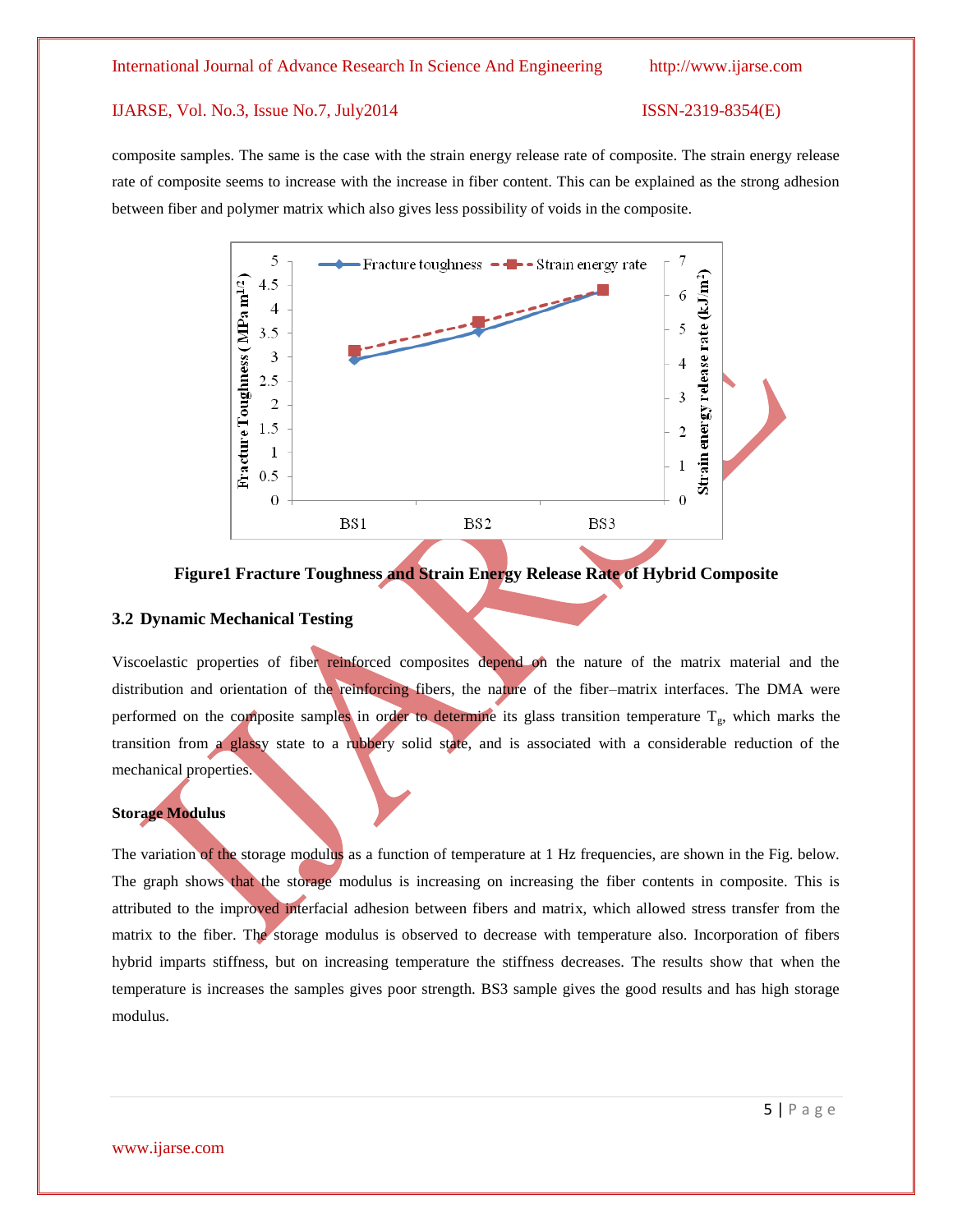composite samples. The same is the case with the strain energy release rate of composite. The strain energy release rate of composite seems to increase with the increase in fiber content. This can be explained as the strong adhesion between fiber and polymer matrix which also gives less possibility of voids in the composite.



**Figure1 Fracture Toughness and Strain Energy Release Rate of Hybrid Composite**

### **3.2 Dynamic Mechanical Testing**

Viscoelastic properties of fiber reinforced composites depend on the nature of the matrix material and the distribution and orientation of the reinforcing fibers, the nature of the fiber–matrix interfaces. The DMA were performed on the composite samples in order to determine its glass transition temperature  $T_{g}$ , which marks the transition from a glassy state to a rubbery solid state, and is associated with a considerable reduction of the mechanical properties.

### **Storage Modulus**

The variation of the storage modulus as a function of temperature at 1 Hz frequencies, are shown in the Fig. below. The graph shows that the storage modulus is increasing on increasing the fiber contents in composite. This is attributed to the improved interfacial adhesion between fibers and matrix, which allowed stress transfer from the matrix to the fiber. The storage modulus is observed to decrease with temperature also. Incorporation of fibers hybrid imparts stiffness, but on increasing temperature the stiffness decreases. The results show that when the temperature is increases the samples gives poor strength. BS3 sample gives the good results and has high storage modulus.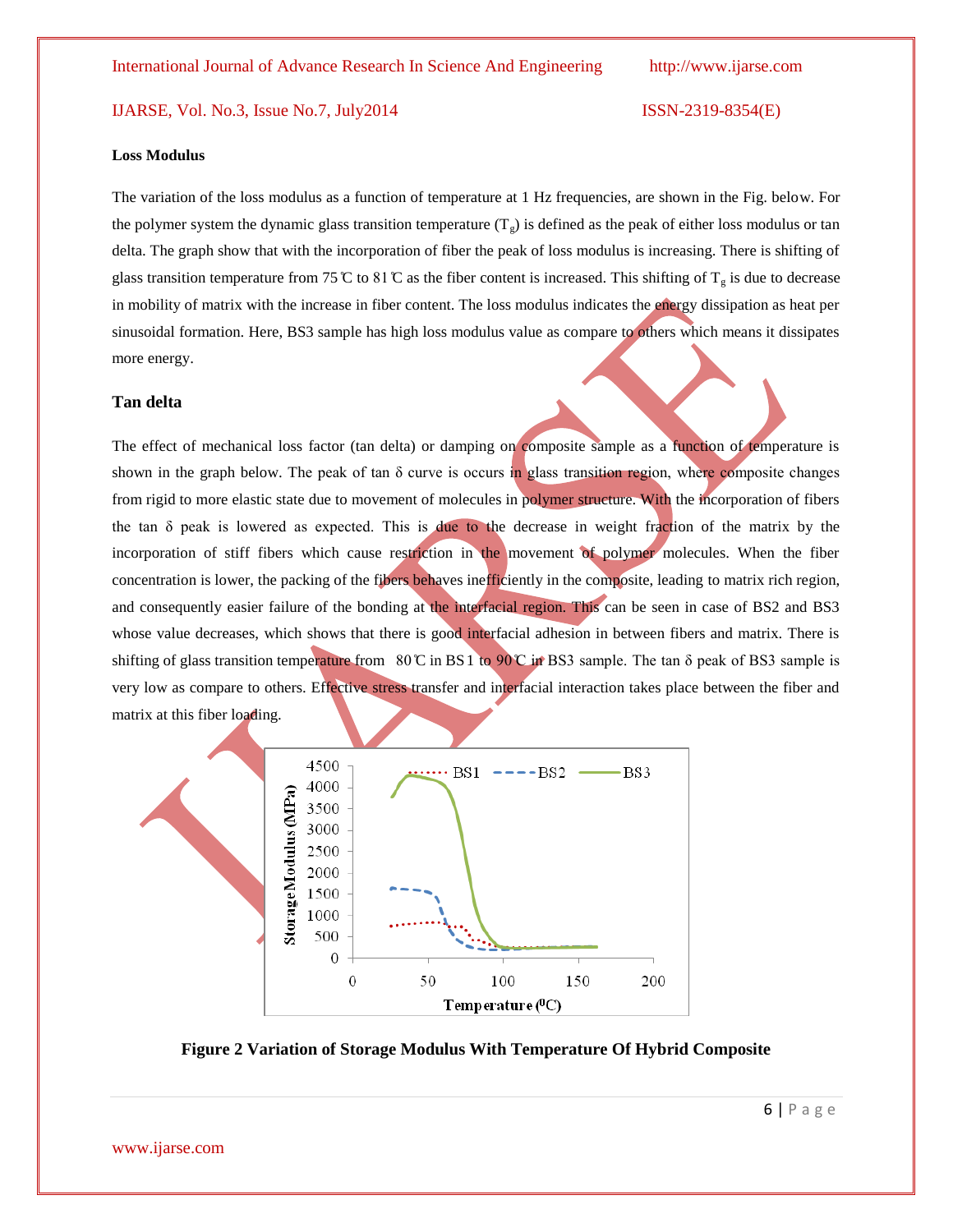### **Loss Modulus**

The variation of the loss modulus as a function of temperature at 1 Hz frequencies, are shown in the Fig. below. For the polymer system the dynamic glass transition temperature  $(T<sub>g</sub>)$  is defined as the peak of either loss modulus or tan delta. The graph show that with the incorporation of fiber the peak of loss modulus is increasing. There is shifting of glass transition temperature from 75  $\mathbb C$  to 81  $\mathbb C$  as the fiber content is increased. This shifting of  $T_g$  is due to decrease in mobility of matrix with the increase in fiber content. The loss modulus indicates the energy dissipation as heat per sinusoidal formation. Here, BS3 sample has high loss modulus value as compare to others which means it dissipates more energy.

### **Tan delta**

The effect of mechanical loss factor (tan delta) or damping on composite sample as a function of temperature is shown in the graph below. The peak of tan  $\delta$  curve is occurs in glass transition region, where composite changes from rigid to more elastic state due to movement of molecules in polymer structure. With the incorporation of fibers the tan  $\delta$  peak is lowered as expected. This is due to the decrease in weight fraction of the matrix by the incorporation of stiff fibers which cause restriction in the movement of polymer molecules. When the fiber concentration is lower, the packing of the fibers behaves inefficiently in the composite, leading to matrix rich region, and consequently easier failure of the bonding at the interfacial region. This can be seen in case of BS2 and BS3 whose value decreases, which shows that there is good interfacial adhesion in between fibers and matrix. There is shifting of glass transition temperature from  $80^\circ$ C in BS 1 to  $90^\circ$  in BS3 sample. The tan  $\delta$  peak of BS3 sample is very low as compare to others. Effective stress transfer and interfacial interaction takes place between the fiber and matrix at this fiber loading.



**Figure 2 Variation of Storage Modulus With Temperature Of Hybrid Composite**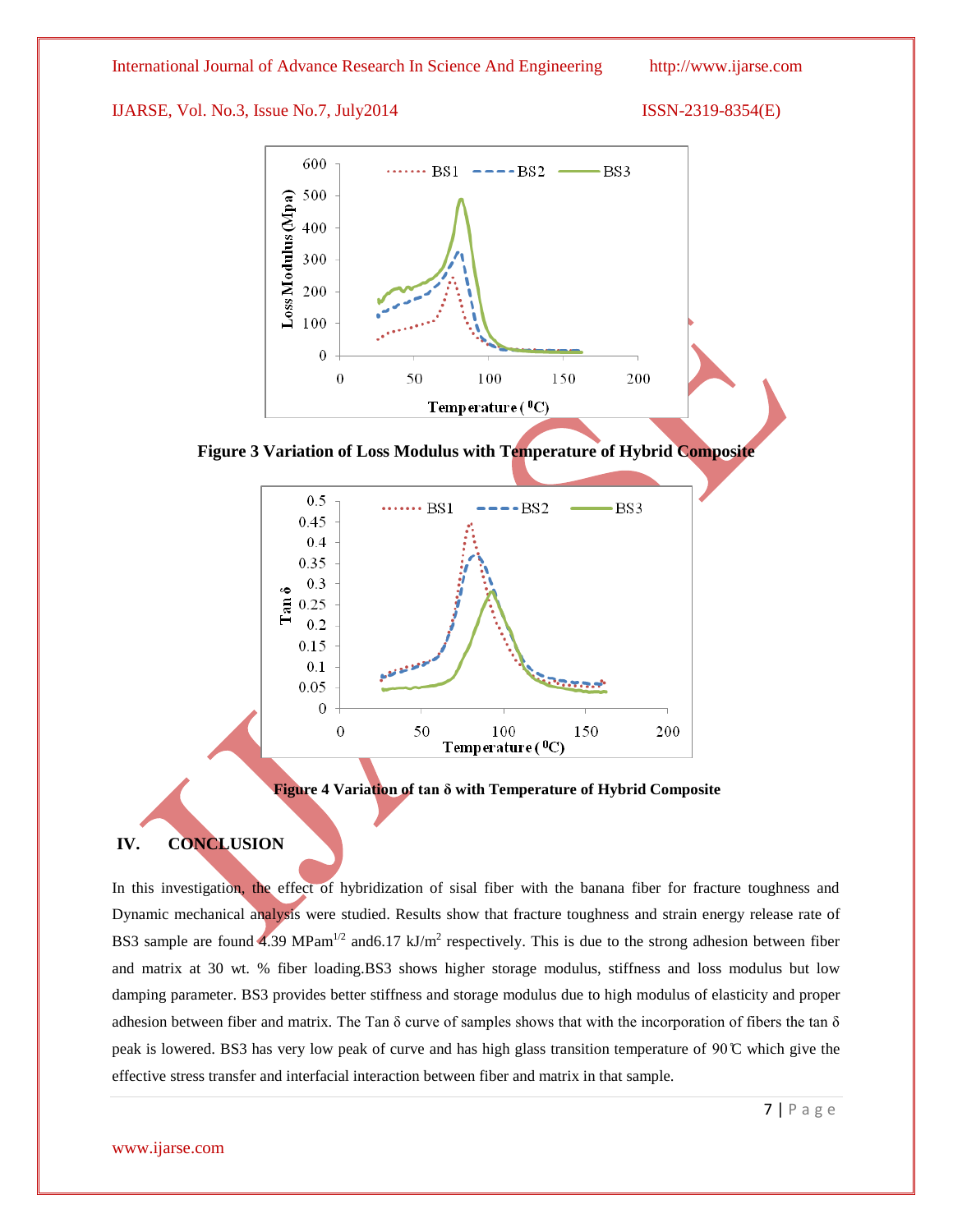International Journal of Advance Research In Science And Engineering http://www.ijarse.com

### IJARSE, Vol. No.3, Issue No.7, July2014 ISSN-2319-8354(E)





**Figure 3 Variation of Loss Modulus with Temperature of Hybrid Composite**



**Figure 4 Variation of tan δ with Temperature of Hybrid Composite**

### **IV. CONCLUSION**

In this investigation, the effect of hybridization of sisal fiber with the banana fiber for fracture toughness and Dynamic mechanical analysis were studied. Results show that fracture toughness and strain energy release rate of BS3 sample are found 4.39 MPam<sup>1/2</sup> and 6.17 kJ/m<sup>2</sup> respectively. This is due to the strong adhesion between fiber and matrix at 30 wt. % fiber loading.BS3 shows higher storage modulus, stiffness and loss modulus but low damping parameter. BS3 provides better stiffness and storage modulus due to high modulus of elasticity and proper adhesion between fiber and matrix. The Tan  $\delta$  curve of samples shows that with the incorporation of fibers the tan  $\delta$ peak is lowered. BS3 has very low peak of curve and has high glass transition temperature of  $90^{\circ}$ C which give the effective stress transfer and interfacial interaction between fiber and matrix in that sample.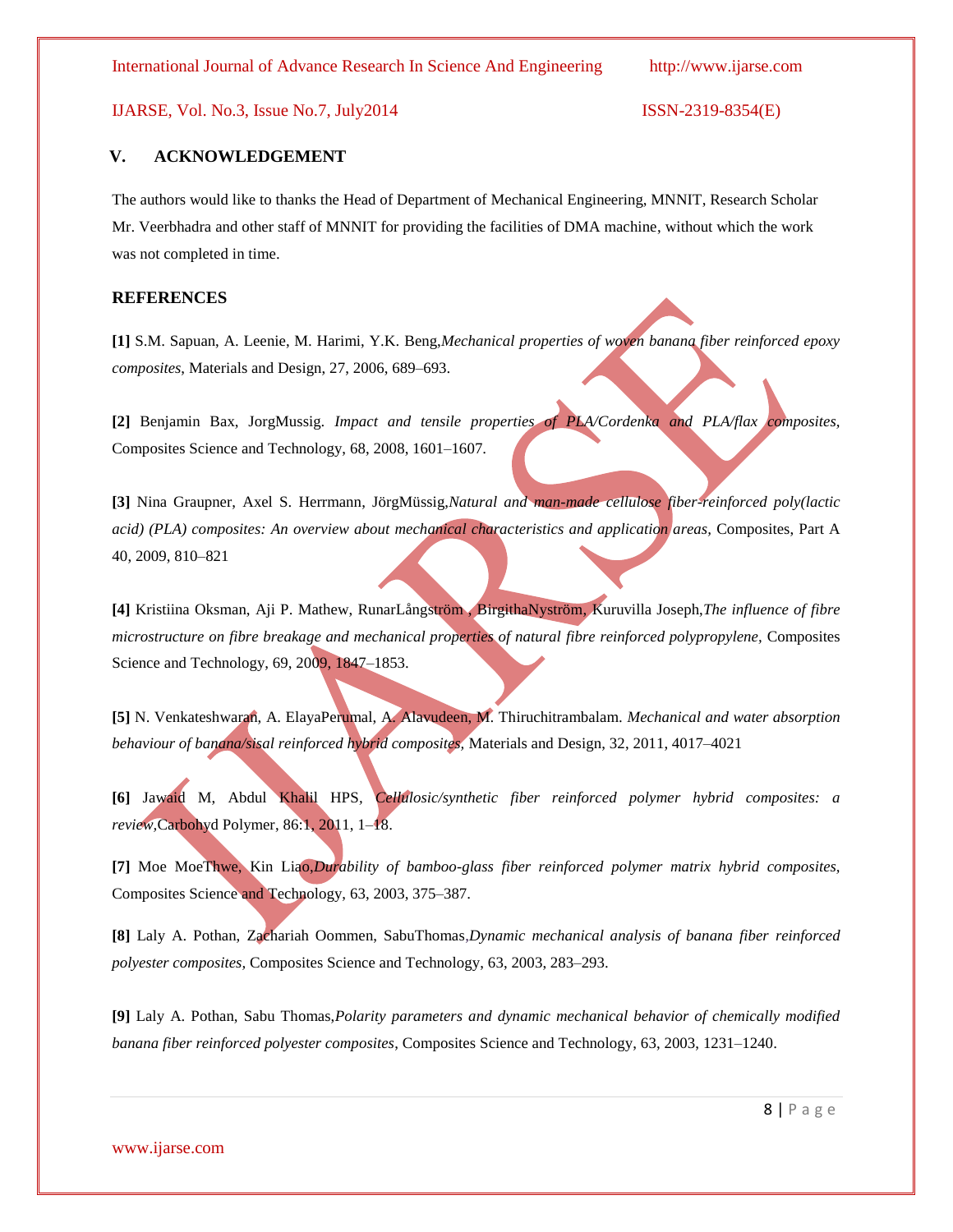### **V. ACKNOWLEDGEMENT**

The authors would like to thanks the Head of Department of Mechanical Engineering, MNNIT, Research Scholar Mr. Veerbhadra and other staff of MNNIT for providing the facilities of DMA machine, without which the work was not completed in time.

### **REFERENCES**

**[1]** S.M. Sapuan, A. Leenie, M. Harimi, Y.K. Beng,*Mechanical properties of woven banana fiber reinforced epoxy composites*, Materials and Design, 27, 2006, 689–693.

**[2]** Benjamin Bax, JorgMussig. *Impact and tensile properties of PLA/Cordenka and PLA/flax composites,* Composites Science and Technology, 68, 2008, 1601–1607.

**[3]** Nina Graupner, Axel S. Herrmann, JörgMüssig,*Natural and man-made cellulose fiber-reinforced poly(lactic acid) (PLA) composites: An overview about mechanical characteristics and application areas,* Composites, Part A 40, 2009, 810–821

**[4]** Kristiina Oksman, Aji P. Mathew, RunarLångström , BirgithaNyström, Kuruvilla Joseph,*The influence of fibre microstructure on fibre breakage and mechanical properties of natural fibre reinforced polypropylene,* Composites Science and Technology, 69, 2009, 1847–1853.

**[5]** N. Venkateshwaran, A. ElayaPerumal, A. Alavudeen, M. Thiruchitrambalam. *Mechanical and water absorption behaviour of banana/sisal reinforced hybrid composites,* Materials and Design, 32, 2011, 4017–4021

**[6]** Jawaid M, Abdul Khalil HPS*, Cellulosic/synthetic fiber reinforced polymer hybrid composites: a review,*Carbohyd Polymer, 86:1, 2011, 1–18.

**[7]** Moe MoeThwe, Kin Liao,*Durability of bamboo-glass fiber reinforced polymer matrix hybrid composites,* Composites Science and Technology, 63, 2003, 375–387.

**[8]** Laly A. Pothan, Zachariah Oommen, SabuThomas,*Dynamic mechanical analysis of banana fiber reinforced polyester composites,* Composites Science and Technology, 63, 2003, 283–293.

**[9]** Laly A. Pothan, Sabu Thomas,*Polarity parameters and dynamic mechanical behavior of chemically modified banana fiber reinforced polyester composites*, Composites Science and Technology, 63, 2003, 1231–1240.